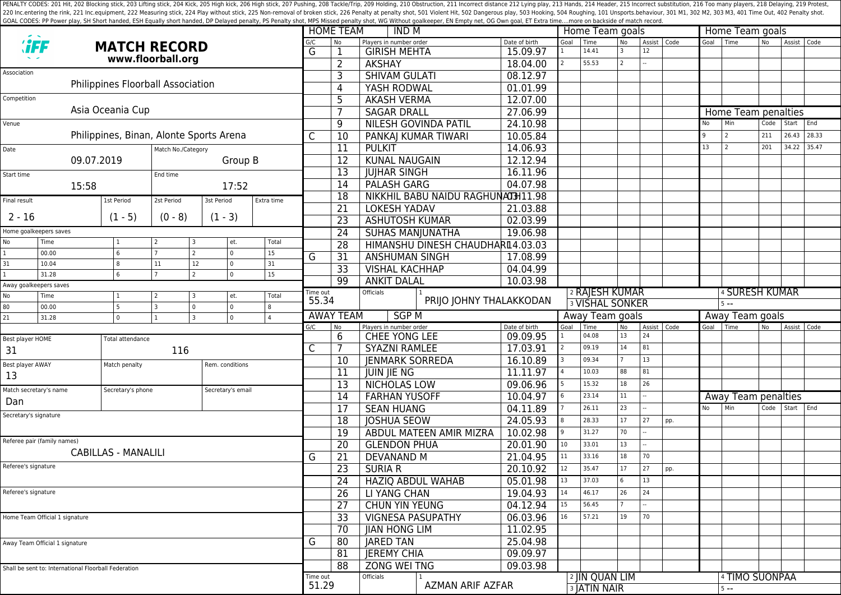PENALTY CODES: 201 Hit, 202 Blocking stick, 203 Lifting stick, 204 Kick, 204 Kick, 205 High kick, 204 Kick, 205 High kick, 206 High stick, 206 High stick, 206 High stick, 206 High stick, 207 Pushing, 208 Tackle/Trip, 209 H 220 Inc.entering the rink, 221 Inc.equipment, 222 Measuring stick, 224 Play without stick, 225 Non-removal of broken stick, 225 Poralty shot, 501 Violent Hit, 502 Dangerous play, 503 Hooking, 504 Roughing, 101 Unsports.beh GOAL CODES: PP Power play, SH Short handed, ESH Equally short handed, DP Delayed penalty, PS Penalty shot, MPS Missed penalty shot, WG Without goalkeeper, EN Empty net, OG Own goal, ET Extra time....more on backside of mat

|                                              |                                                      | <b>MATCH RECORD</b>              |                                   |                                         |             |                                | <b>HOME TEAM</b><br>IND M |                                   |                                   |                           |                  | Home Team goals           |                      |                     |         |                 | Home Team goals     |                |             |       |  |  |
|----------------------------------------------|------------------------------------------------------|----------------------------------|-----------------------------------|-----------------------------------------|-------------|--------------------------------|---------------------------|-----------------------------------|-----------------------------------|---------------------------|------------------|---------------------------|----------------------|---------------------|---------|-----------------|---------------------|----------------|-------------|-------|--|--|
|                                              |                                                      |                                  |                                   |                                         |             |                                | No.                       | Players in number order           |                                   | Date of birth             | Goal             | Time<br>14.41             | No<br>$\overline{3}$ | Assist   Code<br>12 |         |                 | Goal Time           | N <sub>o</sub> | Assist Code |       |  |  |
|                                              |                                                      |                                  | www.floorball.org                 |                                         |             | G                              | 1                         | <b>GIRISH MEHTA</b>               |                                   | 15.09.97                  | $\mathbf{1}$     | 55.53                     | $\overline{2}$       |                     |         |                 |                     |                |             |       |  |  |
| Association                                  |                                                      |                                  |                                   |                                         |             |                                | $\overline{2}$            | <b>AKSHAY</b>                     |                                   | 18.04.00                  |                  |                           |                      |                     |         |                 |                     |                |             |       |  |  |
|                                              |                                                      |                                  | Philippines Floorball Association |                                         |             |                                | 3                         | <b>SHIVAM GULATI</b>              |                                   | 08.12.97                  |                  |                           |                      |                     |         |                 |                     |                |             |       |  |  |
|                                              |                                                      |                                  |                                   |                                         |             |                                | 4                         | YASH RODWAL                       |                                   | 01.01.99                  |                  |                           |                      |                     |         |                 |                     |                |             |       |  |  |
| Competition                                  |                                                      | Asia Oceania Cup                 |                                   |                                         |             |                                | 5                         | <b>AKASH VERMA</b>                |                                   | 12.07.00                  |                  |                           |                      |                     |         |                 |                     |                |             |       |  |  |
|                                              |                                                      |                                  |                                   |                                         |             |                                |                           | <b>SAGAR DRALL</b>                |                                   | 27.06.99                  |                  |                           |                      |                     |         |                 | Home Team penalties |                |             |       |  |  |
| Venue                                        |                                                      |                                  |                                   |                                         |             |                                | 9                         |                                   | NILESH GOVINDA PATIL              | 24.10.98                  |                  |                           |                      |                     |         | No              | Min                 | Code           | Start       | End   |  |  |
|                                              |                                                      |                                  |                                   | Philippines, Binan, Alonte Sports Arena |             | С                              | $\overline{10}$           |                                   | PANKAJ KUMAR TIWARI               | 10.05.84                  |                  |                           |                      |                     |         | q               | 2                   | 211            | 26.43       | 28.33 |  |  |
| Date                                         |                                                      |                                  | Match No./Category                |                                         |             |                                | 11                        | <b>PULKIT</b>                     |                                   | 14.06.93                  |                  |                           |                      |                     |         | 13              | $\overline{2}$      | 201            | 34.22       | 35.47 |  |  |
|                                              | 09.07.2019                                           |                                  |                                   | Group B                                 |             |                                | 12                        | <b>KUNAL NAUGAIN</b>              |                                   | 12.12.94                  |                  |                           |                      |                     |         |                 |                     |                |             |       |  |  |
| Start time                                   |                                                      |                                  | End time                          |                                         |             |                                | 13                        | <b>JUJHAR SINGH</b>               |                                   | 16.11.96                  |                  |                           |                      |                     |         |                 |                     |                |             |       |  |  |
| 15:58<br>17:52                               |                                                      |                                  |                                   |                                         |             | 14                             | <b>PALASH GARG</b>        |                                   | 04.07.98                          |                           |                  |                           |                      |                     |         |                 |                     |                |             |       |  |  |
| Final result                                 |                                                      | 1st Period                       | 2st Period                        | 3st Period                              | Extra time  |                                | 18                        | NIKKHIL BABU NAIDU RAGHUNATH11.98 |                                   |                           |                  |                           |                      |                     |         |                 |                     |                |             |       |  |  |
| $2 - 16$                                     |                                                      |                                  |                                   |                                         |             |                                | 21                        | <b>LOKESH YADAV</b>               |                                   | 21.03.88                  |                  |                           |                      |                     |         |                 |                     |                |             |       |  |  |
|                                              |                                                      | $(1 - 5)$                        | $(0 - 8)$                         | $(1 - 3)$                               |             |                                | 23                        |                                   | <b>ASHUTOSH KUMAR</b><br>02.03.99 |                           |                  |                           |                      |                     |         |                 |                     |                |             |       |  |  |
| Home goalkeepers saves                       |                                                      |                                  |                                   |                                         |             |                                | 24                        | <b>SUHAS MANJUNATHA</b>           |                                   | 19.06.98                  |                  |                           |                      |                     |         |                 |                     |                |             |       |  |  |
| No<br>$\mathbf{1}$                           | Time                                                 | 6                                | $\overline{2}$                    | et.<br>$\overline{0}$                   | Total<br>15 |                                | $\overline{28}$           |                                   | HIMANSHU DINESH CHAUDHARIL4.03.03 |                           |                  |                           |                      |                     |         |                 |                     |                |             |       |  |  |
| 31                                           | 00.00<br>10.04                                       | 8                                | 11                                | $\overline{0}$<br>12                    | 31          | G                              | 31                        | <b>ANSHUMAN SINGH</b>             |                                   | 17.08.99                  |                  |                           |                      |                     |         |                 |                     |                |             |       |  |  |
|                                              | 31.28                                                | 6                                | $\overline{2}$                    | $\overline{0}$                          | 15          |                                | $\overline{33}$           | <b>VISHAL KACHHAP</b>             |                                   | 04.04.99                  |                  |                           |                      |                     |         |                 |                     |                |             |       |  |  |
| Away goalkeepers saves                       |                                                      |                                  |                                   |                                         |             |                                | 99                        | <b>ANKIT DALAL</b>                |                                   | 10.03.98                  |                  |                           |                      |                     |         |                 |                     |                |             |       |  |  |
| No                                           | Time                                                 |                                  |                                   | et.                                     | Total       | Time out<br>Officials<br>55.34 |                           |                                   |                                   |                           |                  | 2 RAJESH KUMAR            |                      |                     |         | 4 SURESH KUMAR  |                     |                |             |       |  |  |
| 80                                           | 00.00                                                | 5                                | <sup>3</sup><br>$\mathbf 0$       | $\overline{0}$                          | 8           |                                |                           |                                   | PRIJO JOHNY THALAKKODAN           |                           |                  | <b>3 VISHAL SONKER</b>    |                      |                     |         | $5 - -$         |                     |                |             |       |  |  |
| 21<br>31.28<br>$\Omega$<br>3<br>$\mathbf{1}$ |                                                      |                                  |                                   | $\circ$                                 | G/C         | <b>AWAY TEAM</b>               | <b>SGPM</b>               |                                   |                                   |                           | Away Team goals  |                           |                      |                     |         | Away Team goals |                     |                |             |       |  |  |
|                                              |                                                      |                                  |                                   |                                         |             |                                | l No                      | Players in number order           |                                   | Date of birth<br>09.09.95 | Goal             | Time<br>04.08             | No<br>13             | Assist   Code<br>24 |         | Goal            | l Time              | No.            | Assist Code |       |  |  |
|                                              | Best player HOME<br><b>Total attendance</b>          |                                  |                                   |                                         |             | С                              | 6                         | CHEE YONG LEE                     |                                   |                           |                  | 09.19                     | 14                   | 81                  |         |                 |                     |                |             |       |  |  |
| 31                                           |                                                      | 116                              |                                   |                                         |             |                                | 7                         | <b>SYAZNI RAMLEE</b>              |                                   | 17.03.91                  |                  | 09.34                     |                      | 13                  |         |                 |                     |                |             |       |  |  |
| Best player AWAY                             |                                                      | Match penalty<br>Rem. conditions |                                   |                                         |             |                                | 10                        | <b>IENMARK SORREDA</b>            |                                   | 16.10.89                  |                  |                           | 88                   | 81                  |         |                 |                     |                |             |       |  |  |
| 13                                           |                                                      |                                  |                                   |                                         |             | 11                             | JUIN JIE NG               |                                   | 11.11.97                          |                           | 10.03            |                           |                      |                     |         |                 |                     |                |             |       |  |  |
|                                              | Match secretary's name                               | Secretary's phone                |                                   | Secretary's email                       |             |                                | 13                        | NICHOLAS LOW                      |                                   | 09.06.96                  |                  | 15.32                     | 18                   | 26                  |         |                 |                     |                |             |       |  |  |
| Dan                                          |                                                      |                                  |                                   |                                         |             |                                | 14                        | <b>FARHAN YUSOFF</b>              |                                   | 10.04.97                  |                  | 23.14                     | 11                   |                     |         |                 | Away Team penalties |                |             |       |  |  |
| Secretary's signature                        |                                                      |                                  |                                   |                                         | 17          | <b>SEAN HUANG</b>              |                           | 04.11.89                          |                                   | 26.11                     | 23               |                           |                      | No                  | Min     |                 | Code   Start   End  |                |             |       |  |  |
|                                              |                                                      |                                  |                                   |                                         |             |                                | 18                        | <b>JOSHUA SEOW</b>                |                                   | 24.05.93                  |                  | 28.33                     | 17                   | 27                  | pp.     |                 |                     |                |             |       |  |  |
|                                              | Referee pair (family names)                          |                                  |                                   |                                         |             |                                | $\overline{19}$           |                                   | <b>ABDUL MATEEN AMIR MIZRA</b>    | 10.02.98                  | 9                | 31.27                     | 70                   |                     |         |                 |                     |                |             |       |  |  |
|                                              |                                                      | <b>CABILLAS - MANALILI</b>       |                                   |                                         |             | G                              | 20                        | <b>GLENDON PHUA</b>               |                                   | 20.01.90                  | 10 <sup>°</sup>  | 33.01                     | 13                   |                     |         |                 |                     |                |             |       |  |  |
| Referee's signature                          |                                                      |                                  |                                   |                                         |             |                                | 21                        | <b>DEVANAND M</b>                 |                                   | 21.04.95                  | 11               | 33.16                     | 18                   | 70                  |         |                 |                     |                |             |       |  |  |
|                                              |                                                      |                                  |                                   |                                         |             |                                | 23                        | <b>SURIA R</b>                    |                                   | 20.10.92                  | 12 <sup>12</sup> | 35.47                     | 17                   | 27                  | pp.     |                 |                     |                |             |       |  |  |
|                                              |                                                      |                                  |                                   |                                         |             |                                | 24                        | <b>HAZIQ ABDUL WAHAB</b>          |                                   | 05.01.98                  | 13               | 37.03                     | 6                    | 13                  |         |                 |                     |                |             |       |  |  |
| Referee's signature                          |                                                      |                                  |                                   |                                         |             |                                | 26                        | LI YANG CHAN                      |                                   | 19.04.93                  | 14               | 46.17                     | 26                   | 24                  |         |                 |                     |                |             |       |  |  |
|                                              |                                                      |                                  |                                   |                                         |             |                                | 27                        | CHUN YIN YEUNG                    |                                   | 04.12.94                  | 15               | 56.45                     |                      |                     |         |                 |                     |                |             |       |  |  |
|                                              | Home Team Official 1 signature                       |                                  |                                   |                                         |             |                                | 33                        | <b>VIGNESA PASUPATHY</b>          |                                   | 06.03.96                  | 16               | 57.21                     | 19                   | 70                  |         |                 |                     |                |             |       |  |  |
|                                              |                                                      |                                  |                                   |                                         |             |                                | 70                        | <b>JIAN HONG LIM</b>              |                                   | 11.02.95                  |                  |                           |                      |                     |         |                 |                     |                |             |       |  |  |
| Away Team Official 1 signature               |                                                      |                                  |                                   |                                         | G           | 80                             | <b>JARED TAN</b>          |                                   | 25.04.98                          |                           |                  |                           |                      |                     |         |                 |                     |                |             |       |  |  |
|                                              |                                                      |                                  |                                   |                                         |             | 81                             | <b>JEREMY CHIA</b>        |                                   | 09.09.97                          |                           |                  |                           |                      |                     |         |                 |                     |                |             |       |  |  |
|                                              | Shall be sent to: International Floorball Federation |                                  |                                   |                                         |             |                                | 88                        | ZONG WEI TNG                      |                                   | 09.03.98                  |                  |                           |                      |                     |         |                 |                     |                |             |       |  |  |
|                                              |                                                      |                                  |                                   |                                         |             | Time out                       |                           | Officials                         |                                   |                           |                  | <sup>2</sup> JIN QUAN LIM |                      |                     |         |                 | 4 TIMO SUONPAA      |                |             |       |  |  |
|                                              |                                                      |                                  |                                   |                                         |             | 51.29                          |                           |                                   | AZMAN ARIF AZFAR                  |                           |                  | <b>3 JATIN NAIR</b>       |                      |                     | $5 - -$ |                 |                     |                |             |       |  |  |